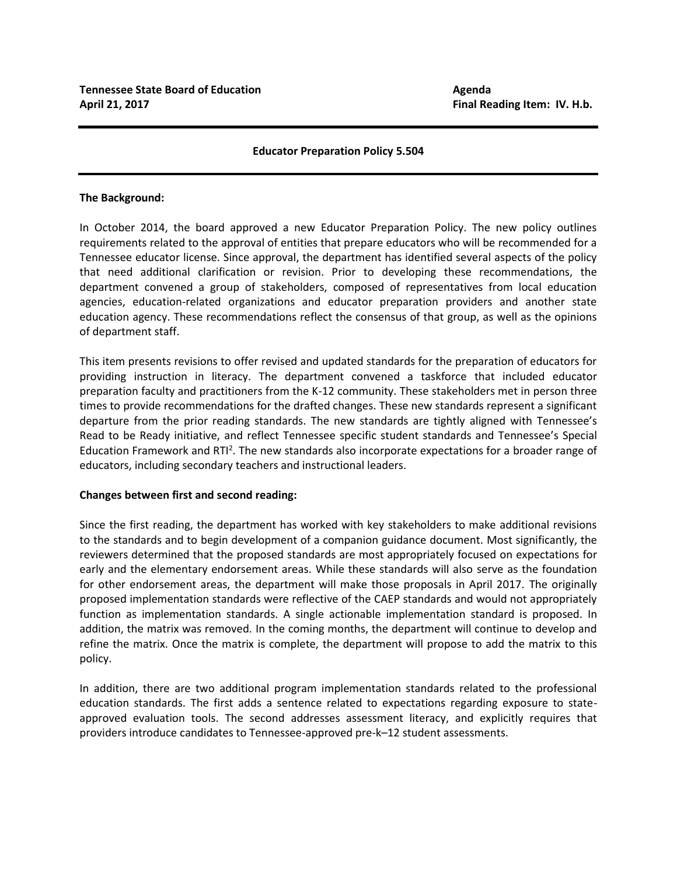## **Educator Preparation Policy 5.504**

#### **The Background:**

In October 2014, the board approved a new Educator Preparation Policy. The new policy outlines requirements related to the approval of entities that prepare educators who will be recommended for a Tennessee educator license. Since approval, the department has identified several aspects of the policy that need additional clarification or revision. Prior to developing these recommendations, the department convened a group of stakeholders, composed of representatives from local education agencies, education-related organizations and educator preparation providers and another state education agency. These recommendations reflect the consensus of that group, as well as the opinions of department staff.

This item presents revisions to offer revised and updated standards for the preparation of educators for providing instruction in literacy. The department convened a taskforce that included educator preparation faculty and practitioners from the K-12 community. These stakeholders met in person three times to provide recommendations for the drafted changes. These new standards represent a significant departure from the prior reading standards. The new standards are tightly aligned with Tennessee's Read to be Ready initiative, and reflect Tennessee specific student standards and Tennessee's Special Education Framework and RTI<sup>2</sup>. The new standards also incorporate expectations for a broader range of educators, including secondary teachers and instructional leaders.

## **Changes between first and second reading:**

Since the first reading, the department has worked with key stakeholders to make additional revisions to the standards and to begin development of a companion guidance document. Most significantly, the reviewers determined that the proposed standards are most appropriately focused on expectations for early and the elementary endorsement areas. While these standards will also serve as the foundation for other endorsement areas, the department will make those proposals in April 2017. The originally proposed implementation standards were reflective of the CAEP standards and would not appropriately function as implementation standards. A single actionable implementation standard is proposed. In addition, the matrix was removed. In the coming months, the department will continue to develop and refine the matrix. Once the matrix is complete, the department will propose to add the matrix to this policy.

In addition, there are two additional program implementation standards related to the professional education standards. The first adds a sentence related to expectations regarding exposure to stateapproved evaluation tools. The second addresses assessment literacy, and explicitly requires that providers introduce candidates to Tennessee-approved pre-k–12 student assessments.